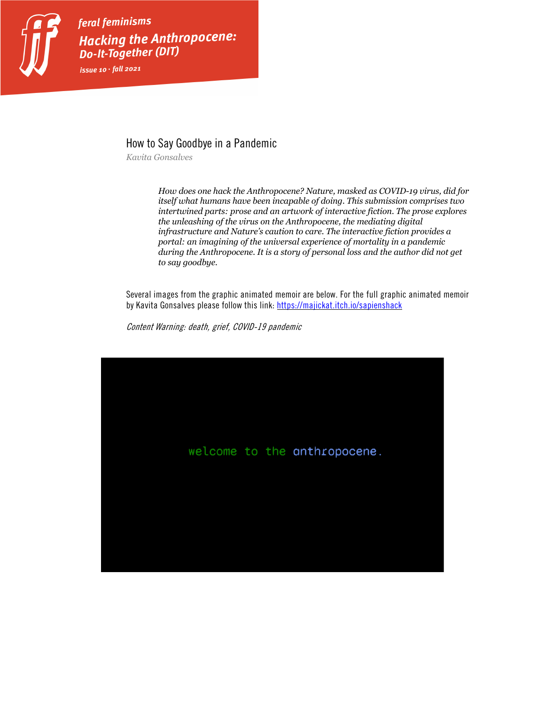

feral feminisms Hacking the Anthropocene: **Do-It-Together (DIT)** issue  $10 \cdot \text{fall}$  2021

## How to Say Goodbye in a Pandemic

*Kavita Gonsalves*

*How does one hack the Anthropocene? Nature, masked as COVID-19 virus, did for itself what humans have been incapable of doing. This submission comprises two intertwined parts: prose and an artwork of interactive fiction. The prose explores the unleashing of the virus on the Anthropocene, the mediating digital infrastructure and Nature's caution to care. The interactive fiction provides a portal: an imagining of the universal experience of mortality in a pandemic during the Anthropocene. It is a story of personal loss and the author did not get to say goodbye.*

Several images from the graphic animated memoir are below. For the full graphic animated memoir by Kavita Gonsalves please follow this link: https://majickat.itch.io/sapienshack

Content Warning: death, grief, COVID-19 pandemic

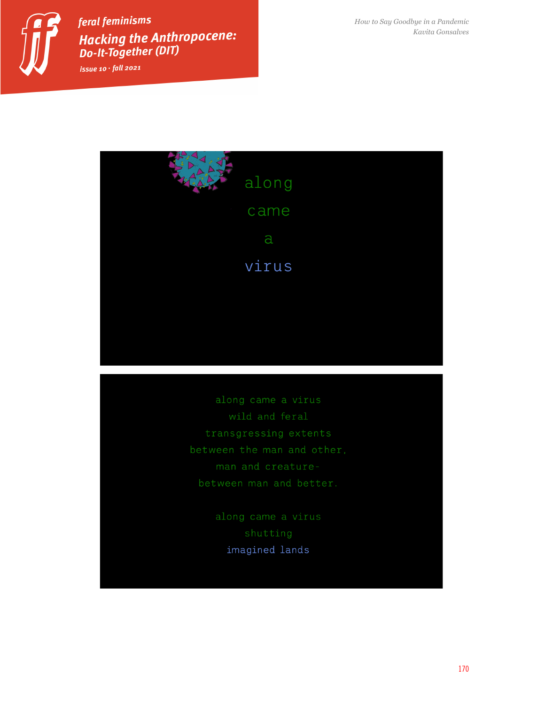

feral feminisms Hacking the Anthropocene: **Do-It-Together (DIT)** issue  $10 \cdot \textit{fall } 2021$ 

*How to Say Goodbye in a Pandemic Kavita Gonsalves*



imagined lands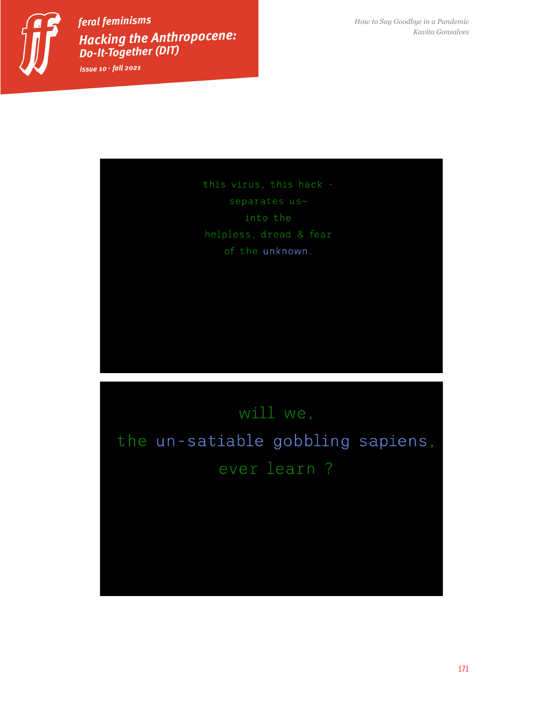

feral feminisms Hacking the Anthropocene: **Do-It-Together (DIT)** issue 10  $\cdot$  fall 2021

*How to Say Goodbye in a Pandemic Kavita Gonsalves*

of the unknown.

## will we, the un-satiable gobbling sapiens, ever learn ?

171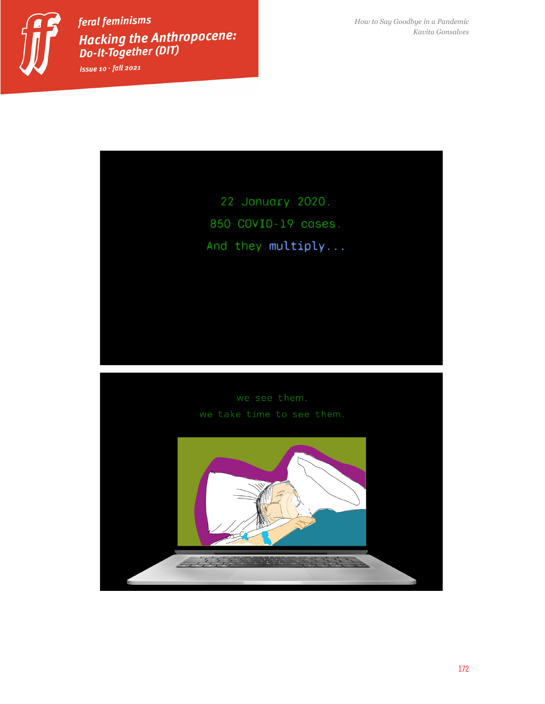

feral feminisms Hacking the Anthropocene:<br>Do-It-Together (DIT) issue  $10 \cdot \textit{fall } 2021$ 

*How to Say Goodbye in a Pandemic Kavita Gonsalves*

22 January 2020. 850 COVID-19 cases. And they multiply...